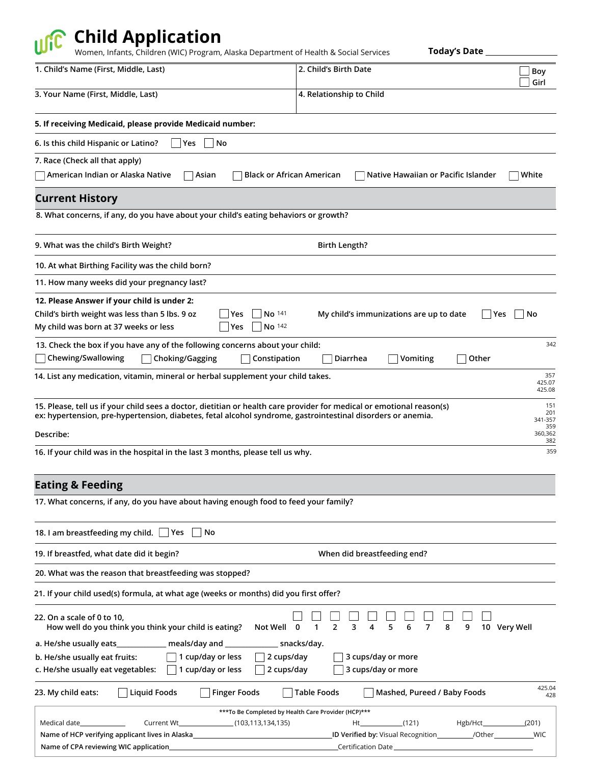## **Child Application**

Women, Infants, Children (WIC) Program, Alaska Department of Health & Social Services

**Today's Date**

| 1. Child's Name (First, Middle, Last)                                                                                                                                                                                                | 2. Child's Birth Date<br>Boy<br>Girl                                                                               |  |
|--------------------------------------------------------------------------------------------------------------------------------------------------------------------------------------------------------------------------------------|--------------------------------------------------------------------------------------------------------------------|--|
| 3. Your Name (First, Middle, Last)                                                                                                                                                                                                   | 4. Relationship to Child                                                                                           |  |
| 5. If receiving Medicaid, please provide Medicaid number:                                                                                                                                                                            |                                                                                                                    |  |
| 6. Is this child Hispanic or Latino?<br> Yes<br>  No                                                                                                                                                                                 |                                                                                                                    |  |
| 7. Race (Check all that apply)                                                                                                                                                                                                       |                                                                                                                    |  |
| American Indian or Alaska Native<br><b>Black or African American</b><br>Asian                                                                                                                                                        | Native Hawaiian or Pacific Islander<br>White                                                                       |  |
| <b>Current History</b>                                                                                                                                                                                                               |                                                                                                                    |  |
| 8. What concerns, if any, do you have about your child's eating behaviors or growth?                                                                                                                                                 |                                                                                                                    |  |
| 9. What was the child's Birth Weight?                                                                                                                                                                                                | <b>Birth Length?</b>                                                                                               |  |
| 10. At what Birthing Facility was the child born?                                                                                                                                                                                    |                                                                                                                    |  |
| 11. How many weeks did your pregnancy last?                                                                                                                                                                                          |                                                                                                                    |  |
| 12. Please Answer if your child is under 2:                                                                                                                                                                                          |                                                                                                                    |  |
| Child's birth weight was less than 5 lbs. 9 oz<br>No 141<br> Yes<br>No 142<br>My child was born at 37 weeks or less<br> Yes                                                                                                          | My child's immunizations are up to date<br>∣Yes<br>No                                                              |  |
| 13. Check the box if you have any of the following concerns about your child:                                                                                                                                                        | 342                                                                                                                |  |
| Chewing/Swallowing<br>Choking/Gagging<br>Constipation                                                                                                                                                                                | Diarrhea<br>Vomiting<br>Other                                                                                      |  |
| 14. List any medication, vitamin, mineral or herbal supplement your child takes.                                                                                                                                                     | 357<br>425.07<br>425.08                                                                                            |  |
| 15. Please, tell us if your child sees a doctor, dietitian or health care provider for medical or emotional reason(s)<br>ex: hypertension, pre-hypertension, diabetes, fetal alcohol syndrome, gastrointestinal disorders or anemia. | 151<br>201<br>341-357                                                                                              |  |
| Describe:                                                                                                                                                                                                                            | 359<br>360,362<br>382                                                                                              |  |
| 16. If your child was in the hospital in the last 3 months, please tell us why.                                                                                                                                                      | 359                                                                                                                |  |
| <b>Eating &amp; Feeding</b>                                                                                                                                                                                                          |                                                                                                                    |  |
| 17. What concerns, if any, do you have about having enough food to feed your family?                                                                                                                                                 |                                                                                                                    |  |
| 18. I am breastfeeding my child. Yes<br>No                                                                                                                                                                                           |                                                                                                                    |  |
| 19. If breastfed, what date did it begin?                                                                                                                                                                                            | When did breastfeeding end?                                                                                        |  |
| 20. What was the reason that breastfeeding was stopped?                                                                                                                                                                              |                                                                                                                    |  |
| 21. If your child used(s) formula, at what age (weeks or months) did you first offer?                                                                                                                                                |                                                                                                                    |  |
| 22. On a scale of 0 to 10,<br>How well do you think you think your child is eating?<br>Not Well                                                                                                                                      | 5<br>6<br>8<br>9<br>10 Very Well<br>2<br>3<br>7<br>0<br>1<br>4                                                     |  |
| a. He/she usually eats<br>$\_$ meals/day and $\_$                                                                                                                                                                                    | snacks/day.                                                                                                        |  |
| 1 cup/day or less<br>2 cups/day<br>b. He/she usually eat fruits:<br>1 cup/day or less<br>2 cups/day<br>c. He/she usually eat vegetables:                                                                                             | 3 cups/day or more<br>3 cups/day or more                                                                           |  |
| <b>Liquid Foods</b><br><b>Finger Foods</b><br>23. My child eats:                                                                                                                                                                     | 425.04<br>Mashed, Pureed / Baby Foods<br><b>Table Foods</b><br>428                                                 |  |
| *** To Be Completed by Health Care Provider (HCP)***                                                                                                                                                                                 |                                                                                                                    |  |
| (103, 113, 134, 135)<br>Medical date_<br>Current Wt_<br>Name of HCP verifying applicant lives in Alaska_                                                                                                                             | (121)<br>Hgb/Hct_______<br>(201)<br>Ht.<br>ID Verified by: Visual Recognition____________/Other___________<br>_WIC |  |
| Name of CPA reviewing WIC application_                                                                                                                                                                                               | Certification Date                                                                                                 |  |